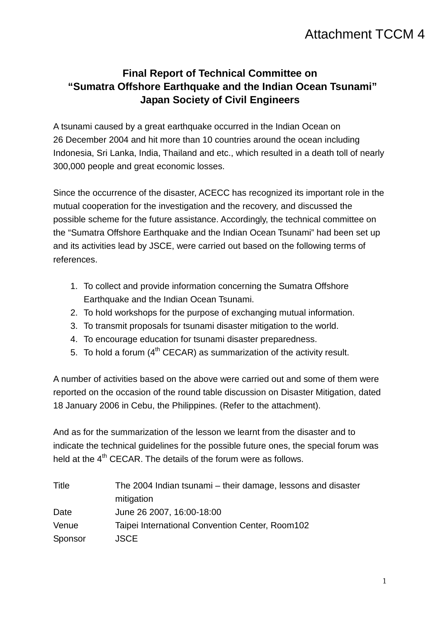## Attachment TCCM 4

## **Final Report of Technical Committee on "Sumatra Offshore Earthquake and the Indian Ocean Tsunami" Japan Society of Civil Engineers**

A tsunami caused by a great earthquake occurred in the Indian Ocean on 26 December 2004 and hit more than 10 countries around the ocean including Indonesia, Sri Lanka, India, Thailand and etc., which resulted in a death toll of nearly 300,000 people and great economic losses.

Since the occurrence of the disaster, ACECC has recognized its important role in the mutual cooperation for the investigation and the recovery, and discussed the possible scheme for the future assistance. Accordingly, the technical committee on the "Sumatra Offshore Earthquake and the Indian Ocean Tsunami" had been set up and its activities lead by JSCE, were carried out based on the following terms of references.

- 1. To collect and provide information concerning the Sumatra Offshore Earthquake and the Indian Ocean Tsunami.
- 2. To hold workshops for the purpose of exchanging mutual information.
- 3. To transmit proposals for tsunami disaster mitigation to the world.
- 4. To encourage education for tsunami disaster preparedness.
- 5. To hold a forum  $(4<sup>th</sup> CECAR)$  as summarization of the activity result.

A number of activities based on the above were carried out and some of them were reported on the occasion of the round table discussion on Disaster Mitigation, dated 18 January 2006 in Cebu, the Philippines. (Refer to the attachment).

And as for the summarization of the lesson we learnt from the disaster and to indicate the technical guidelines for the possible future ones, the special forum was held at the  $4<sup>th</sup>$  CECAR. The details of the forum were as follows.

| Title   | The 2004 Indian tsunami – their damage, lessons and disaster |
|---------|--------------------------------------------------------------|
|         | mitigation                                                   |
| Date    | June 26 2007, 16:00-18:00                                    |
| Venue   | Taipei International Convention Center, Room102              |
| Sponsor | <b>JSCE</b>                                                  |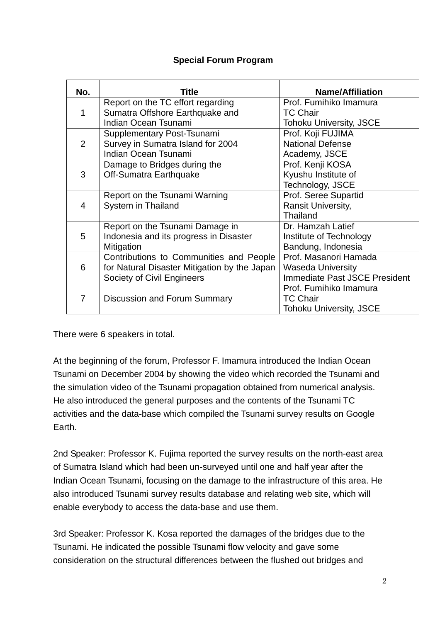## **Special Forum Program**

| No.            | Title                                        | <b>Name/Affiliation</b>              |
|----------------|----------------------------------------------|--------------------------------------|
| 1              | Report on the TC effort regarding            | Prof. Fumihiko Imamura               |
|                | Sumatra Offshore Earthquake and              | <b>TC Chair</b>                      |
|                | Indian Ocean Tsunami                         | <b>Tohoku University, JSCE</b>       |
| $\overline{2}$ | Supplementary Post-Tsunami                   | Prof. Koji FUJIMA                    |
|                | Survey in Sumatra Island for 2004            | <b>National Defense</b>              |
|                | Indian Ocean Tsunami                         | Academy, JSCE                        |
| 3              | Damage to Bridges during the                 | Prof. Kenji KOSA                     |
|                | Off-Sumatra Earthquake                       | Kyushu Institute of                  |
|                |                                              | Technology, JSCE                     |
| 4              | Report on the Tsunami Warning                | Prof. Seree Supartid                 |
|                | System in Thailand                           | Ransit University,                   |
|                |                                              | Thailand                             |
| 5              | Report on the Tsunami Damage in              | Dr. Hamzah Latief                    |
|                | Indonesia and its progress in Disaster       | Institute of Technology              |
|                | Mitigation                                   | Bandung, Indonesia                   |
| 6              | Contributions to Communities and People      | Prof. Masanori Hamada                |
|                | for Natural Disaster Mitigation by the Japan | <b>Waseda University</b>             |
|                | Society of Civil Engineers                   | <b>Immediate Past JSCE President</b> |
| 7              |                                              | Prof. Fumihiko Imamura               |
|                | <b>Discussion and Forum Summary</b>          | <b>TC Chair</b>                      |
|                |                                              | <b>Tohoku University, JSCE</b>       |

There were 6 speakers in total.

At the beginning of the forum, Professor F. Imamura introduced the Indian Ocean Tsunami on December 2004 by showing the video which recorded the Tsunami and the simulation video of the Tsunami propagation obtained from numerical analysis. He also introduced the general purposes and the contents of the Tsunami TC activities and the data-base which compiled the Tsunami survey results on Google Earth.

2nd Speaker: Professor K. Fujima reported the survey results on the north-east area of Sumatra Island which had been un-surveyed until one and half year after the Indian Ocean Tsunami, focusing on the damage to the infrastructure of this area. He also introduced Tsunami survey results database and relating web site, which will enable everybody to access the data-base and use them.

3rd Speaker: Professor K. Kosa reported the damages of the bridges due to the Tsunami. He indicated the possible Tsunami flow velocity and gave some consideration on the structural differences between the flushed out bridges and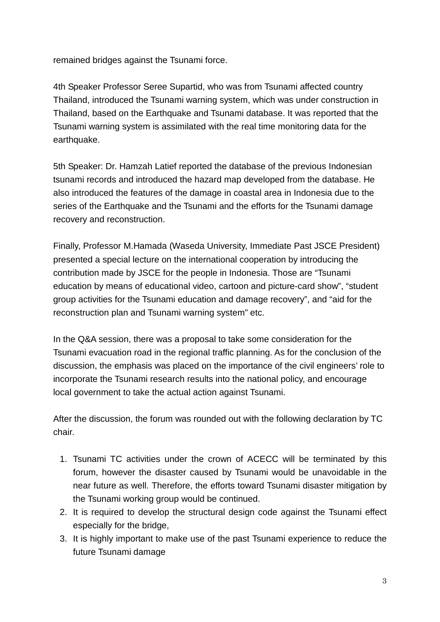remained bridges against the Tsunami force.

4th Speaker Professor Seree Supartid, who was from Tsunami affected country Thailand, introduced the Tsunami warning system, which was under construction in Thailand, based on the Earthquake and Tsunami database. It was reported that the Tsunami warning system is assimilated with the real time monitoring data for the earthquake.

5th Speaker: Dr. Hamzah Latief reported the database of the previous Indonesian tsunami records and introduced the hazard map developed from the database. He also introduced the features of the damage in coastal area in Indonesia due to the series of the Earthquake and the Tsunami and the efforts for the Tsunami damage recovery and reconstruction.

Finally, Professor M.Hamada (Waseda University, Immediate Past JSCE President) presented a special lecture on the international cooperation by introducing the contribution made by JSCE for the people in Indonesia. Those are "Tsunami education by means of educational video, cartoon and picture-card show", "student group activities for the Tsunami education and damage recovery", and "aid for the reconstruction plan and Tsunami warning system" etc.

In the Q&A session, there was a proposal to take some consideration for the Tsunami evacuation road in the regional traffic planning. As for the conclusion of the discussion, the emphasis was placed on the importance of the civil engineers' role to incorporate the Tsunami research results into the national policy, and encourage local government to take the actual action against Tsunami.

After the discussion, the forum was rounded out with the following declaration by TC chair.

- 1. Tsunami TC activities under the crown of ACECC will be terminated by this forum, however the disaster caused by Tsunami would be unavoidable in the near future as well. Therefore, the efforts toward Tsunami disaster mitigation by the Tsunami working group would be continued.
- 2. It is required to develop the structural design code against the Tsunami effect especially for the bridge,
- 3. It is highly important to make use of the past Tsunami experience to reduce the future Tsunami damage